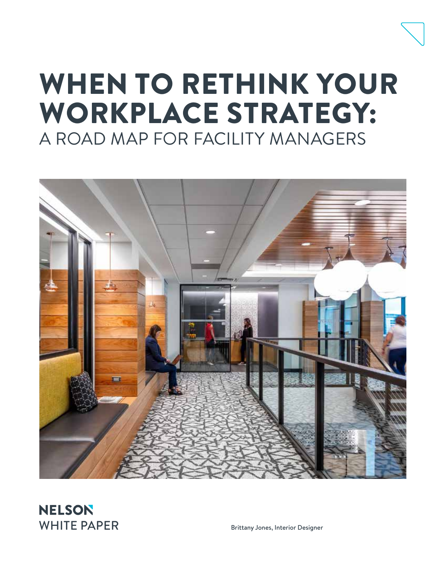## WHEN TO RETHINK YOUR WORKPLACE STRATEGY: A ROAD MAP FOR FACILITY MANAGERS



**NELSON** WHITE PAPER Brittany Jones, Interior Designer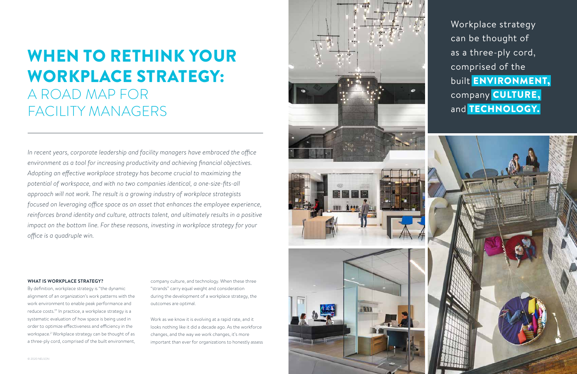

# WHEN TO RETHINK YOUR WORKPLACE STRATEGY: A ROAD MAP FOR FACILITY MANAGERS

company culture, and technology. When these three "strands" carry equal weight and consideration during the development of a workplace strategy, the outcomes are optimal.

Work as we know it is evolving at a rapid rate, and it looks nothing like it did a decade ago. As the workforce changes, and the way we work changes, it's more important than ever for organizations to honestly assess

#### **WHAT IS WORKPLACE STRATEGY?**

By definition, workplace strategy is "the dynamic alignment of an organization's work patterns with the work environment to enable peak performance and reduce costs.1 " In practice, a workplace strategy is a systematic evaluation of how space is being used in order to optimize effectiveness and efficiency in the workspace.<sup>2</sup> Workplace strategy can be thought of as a three-ply cord, comprised of the built environment,

*In recent years, corporate leadership and facility managers have embraced the office environment as a tool for increasing productivity and achieving financial objectives. Adopting an effective workplace strategy has become crucial to maximizing the potential of workspace, and with no two companies identical, a one-size-fits-all approach will not work. The result is a growing industry of workplace strategists focused on leveraging office space as an asset that enhances the employee experience, reinforces brand identity and culture, attracts talent, and ultimately results in a positive impact on the bottom line. For these reasons, investing in workplace strategy for your office is a quadruple win.*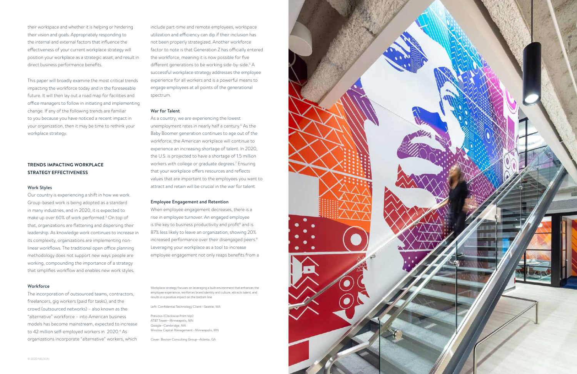

their workspace and whether it is helping or hindering their vision and goals. Appropriately responding to the internal and external factors that influence the effectiveness of your current workplace strategy will position your workplace as a strategic asset, and result in direct business performance benefits.

This paper will broadly examine the most critical trends impacting the workforce today and in the foreseeable future. It will then lay out a road map for facilities and office managers to follow in initiating and implementing change. If any of the following trends are familiar to you because you have noticed a recent impact in your organization, then it may be time to rethink your workplace strategy.

#### **TRENDS IMPACTING WORKPLACE STRATEGY EFFECTIVENESS**

#### Work Styles

Our country is experiencing a shift in how we work. Group-based work is being adopted as a standard in many industries, and in 2020, it is expected to make up over 60% of work performed.<sup>3</sup> On top of that, organizations are flattening and dispersing their leadership. As knowledge work continues to increase in its complexity, organizations are implementing nonlinear workflows. The traditional open office planning methodology does not support new ways people are working, compounding the importance of a strategy that simplifies workflow and enables new work styles.

#### **Workforce**

The incorporation of outsourced teams, contractors, freelancers, gig workers (paid for tasks), and the crowd (outsourced networks) – also known as the "alternative" workforce – into American business models has become mainstream, expected to increase to 42 million self-employed workers in 2020.4 As organizations incorporate "alternative" workers, which

Workplace strategy focuses on leveraging a built environment that enhances the employee experience, reinforces brand identity and culture, attracts talent, and results in a positive impact on the bottom line.

Left: Confidential Technology Client—Seattle, WA

Previous (Clockwise from top): AT&T Tower—Minneapolis, MN Google—Cambridge, MA Winslow Capital Management—Minneapolis, MN

Cover: Boston Consulting Group—Atlanta, GA

include part-time and remote employees, workspace utilization and efficiency can dip if their inclusion has not been properly strategized. Another workforce factor to note is that Generation Z has officially entered the workforce, meaning it is now possible for five different generations to be working side-by-side.<sup>5</sup> A successful workplace strategy addresses the employee experience for all workers and is a powerful means to engage employees at all points of the generational spectrum.

#### War for Talent

As a country, we are experiencing the lowest unemployment rates in nearly half a century.<sup>6</sup> As the Baby Boomer generation continues to age out of the workforce, the American workplace will continue to experience an increasing shortage of talent. In 2020, the U.S. is projected to have a shortage of 1.5 million workers with college or graduate degrees.<sup>7</sup> Ensuring that your workplace offers resources and reflects values that are important to the employees you want to attract and retain will be crucial in the war for talent.

#### Employee Engagement and Retention

When employee engagement decreases, there is a rise in employee turnover. An engaged employee is the key to business productivity and profit<sup>8</sup> and is 87% less likely to leave an organization, showing 20% increased performance over their disengaged peers.<sup>9</sup> Leveraging your workplace as a tool to increase employee engagement not only reaps benefits from a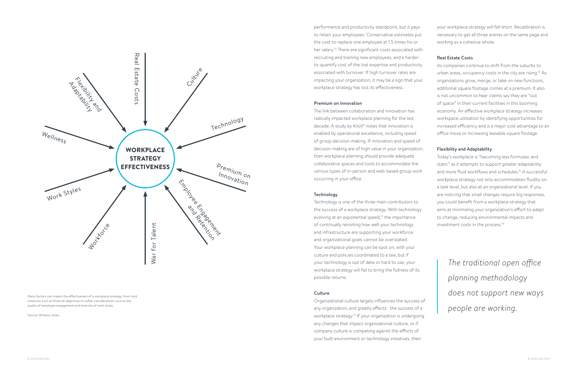

performance and productivity standpoint, but it pays to retain your employees. Conservative estimates put the cost to replace one employee at 1.5 times his or her salary.10 There are significant costs associated with recruiting and training new employees, and a harderto-quantify cost of the lost expertise and productivity associated with turnover. If high turnover rates are impacting your organization, it may be a sign that your workplace strategy has lost its effectiveness.

#### Premium on Innovation

The link between collaboration and innovation has radically impacted workplace planning for the last decade. A study by Knoll<sup>11</sup> notes that innovation is enabled by operational excellence, including speed of group decision-making. If innovation and speed of decision-making are of high value in your organization, then workplace planning should provide adequate collaborative spaces and tools to accommodate the various types of in-person and web-based group work occurring in your office.

#### Technology

Technology is one of the three main contributors to the success of a workplace strategy. With technology evolving at an exponential speed, $12$  the importance of continually revisiting how well your technology and infrastructure are supporting your workforce and organizational goals cannot be overstated. Your workplace planning can be spot on, with your culture and policies coordinated to a tee, but if your technology is out of date or hard to use, your workplace strategy will fail to bring the fullness of its possible returns.

#### **Culture**

Organizational culture largely influences the success of any organization, and greatly affects the success of a workplace strategy.<sup>13</sup> If your organization is undergoing any changes that impact organizational culture, or if company culture is competing against the efforts of your built environment or technology initiatives, then

your workplace strategy will fall short. Recalibration is necessary to get all three arenas on the same page and working as a cohesive whole.

#### Real Estate Costs

As companies continue to shift from the suburbs to urban areas, occupancy costs in the city are rising.14 As organizations grow, merge, or take on new functions, additional square footage comes at a premium. It also is not uncommon to hear clients say they are "out of space" in their current facilities in this booming economy. An effective workplace strategy increases workspace utilization by identifying opportunities for increased efficiency and is a major cost advantage to an office move or increasing leasable square footage.

#### Flexibility and Adaptability

Today's workplace is "becoming less formulaic and static" as it attempts to support greater adaptability and more fluid workflows and schedules.<sup>15</sup> A successful workplace strategy not only accommodates fluidity on a task level, but also at an organizational level. If you are noticing that small changes require big responses, you could benefit from a workplace strategy that aims at minimizing your organization's effort to adapt to change, reducing environmental impacts and investment costs in the process.16

*The traditional open office planning methodology does not support new ways people are working.*

Many factors can impact the effectiveness of a workplace strategy, from hard measures such as financial objectives to softer considerations such as the quality of employee engagement and diversity of work styles.

#### Source: Brittany Jones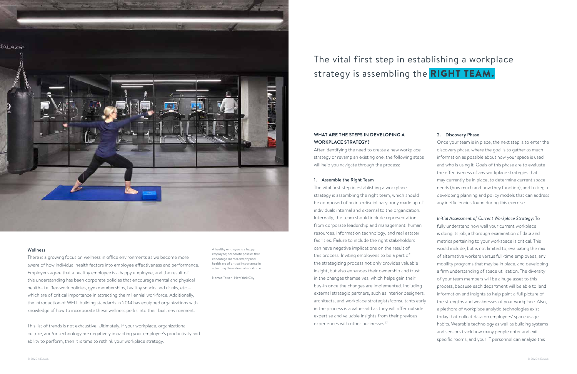#### 2. Discovery Phase

Once your team is in place, the next step is to enter the discovery phase, where the goal is to gather as much information as possible about how your space is used and who is using it. Goals of this phase are to evaluate the effectiveness of any workplace strategies that may currently be in place, to determine current space needs (how much and how they function), and to begin developing planning and policy models that can address any inefficiencies found during this exercise.

The vital first step in establishing a workplace strategy is assembling the right team, which should be composed of an interdisciplinary body made up of individuals internal and external to the organization. Internally, the team should include representation from corporate leadership and management, human resources, information technology, and real estate/ facilities. Failure to include the right stakeholders can have negative implications on the result of this process. Inviting employees to be a part of the strategizing process not only provides valuable insight, but also enhances their ownership and trust in the changes themselves, which helps gain their buy-in once the changes are implemented. Including external strategic partners, such as interior designers, architects, and workplace strategists/consultants early in the process is a value-add as they will offer outside expertise and valuable insights from their previous experiences with other businesses.<sup>17</sup>

*Initial Assessment of Current Workplace Strategy:* To fully understand how well your current workplace is doing its job, a thorough examination of data and metrics pertaining to your workspace is critical. This would include, but is not limited to, evaluating the mix of alternative workers versus full-time employees, any mobility programs that may be in place, and developing a firm understanding of space utilization. The diversity of your team members will be a huge asset to this process, because each department will be able to lend information and insights to help paint a full picture of the strengths and weaknesses of your workplace. Also, a plethora of workplace analytic technologies exist today that collect data on employees' space usage habits. Wearable technology as well as building systems and sensors track how many people enter and exit specific rooms, and your IT personnel can analyze this

#### **WHAT ARE THE STEPS IN DEVELOPING A WORKPLACE STRATEGY?**

After identifying the need to create a new workplace strategy or revamp an existing one, the following steps will help you navigate through the process:

#### 1. Assemble the Right Team

### The vital first step in establishing a workplace strategy is assembling the **RIGHT TEAM.**



#### Wellness

There is a growing focus on wellness in office environments as we become more aware of how individual health factors into employee effectiveness and performance. Employers agree that a healthy employee is a happy employee, and the result of this understanding has been corporate policies that encourage mental and physical health–i.e. flex-work policies, gym memberships, healthy snacks and drinks, etc.– which are of critical importance in attracting the millennial workforce. Additionally, the introduction of WELL building standards in 2014 has equipped organizations with knowledge of how to incorporate these wellness perks into their built environment.

This list of trends is not exhaustive. Ultimately, if your workplace, organizational culture, and/or technology are negatively impacting your employee's productivity and ability to perform, then it is time to rethink your workplace strategy.

A healthy employee is a happy employee; corporate policies that encourage mental and physical health are of critical importance in attracting the millennial workforce.

Nomad Tower—New York City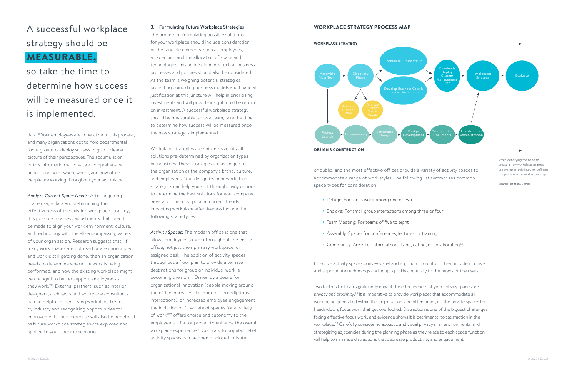

#### WORKPLACE STRATEGY PROCESS MAP

### A successful workplace strategy should be MEASURABLE,

### so take the time to determine how success will be measured once it is implemented.

data.18 Your employees are imperative to this process, and many organizations opt to hold departmental focus groups or deploy surveys to gain a clearer picture of their perspectives. The accumulation of this information will create a comprehensive understanding of when, where, and how often people are working throughout your workplace.

*Analyze Current Space Needs:* After acquiring space usage data and determining the effectiveness of the existing workplace strategy, it is possible to assess adjustments that need to be made to align your work environment, culture, and technology with the all-encompassing values of your organization. Research suggests that "if many work spaces are not used or are unoccupied and work is still getting done, then an organization needs to determine where the work is being performed, and how the existing workplace might be changed to better support employees as they work.19" External partners, such as interior designers, architects and workplace consultants, can be helpful in identifying workplace trends by industry and recognizing opportunities for improvement. Their expertise will also be beneficial as future workplace strategies are explored and applied to your specific scenario.

#### 3. Formulating Future Workplace Strategies

- > Refuge: For focus work among one or two
- > Enclave: For small group interactions among three or four
- > Team Meeting: For teams of five to eight
- > Assembly: Spaces for conferences, lectures, or training
- > Community: Areas for informal socializing, eating, or collaborating<sup>22</sup>

The process of formulating possible solutions for your workplace should include consideration of the tangible elements, such as employees, adjacencies, and the allocation of space and technologies. Intangible elements such as business processes and policies should also be considered. As the team is weighing potential strategies, projecting coinciding business models and financial justification at this juncture will help in prioritizing investments and will provide insight into the return on investment. A successful workplace strategy should be measurable, so as a team, take the time to determine how success will be measured once the new strategy is implemented.

Workplace strategies are not one-size-fits-all solutions pre-determined by organization types or industries. These strategies are as unique to the organization as the company's brand, culture, and employees. Your design team or workplace strategists can help you sort through many options to determine the best solutions for your company. Several of the most popular current trends impacting workplace effectiveness include the following space types:

*Activity Spaces:* The modern office is one that allows employees to work throughout the entire office, not just their primary workspace, or assigned desk. The addition of activity spaces throughout a floor plan to provide alternate destinations for group or individual work is becoming the norm. Driven by a desire for organizational innovation (people moving around the office increases likelihood of serendipitous interactions), or increased employee engagement, the inclusion of "a variety of spaces for a variety of work20" offers choice and autonomy to the employee – a factor proven to enhance the overall workplace experience.<sup>21</sup> Contrary to popular belief, activity spaces can be open or closed, private

After identifying the need to create a new workplace strategy or revamp an existing one, defining the process is the next major step.

Source: Brittany Jones

or public, and the most effective offices provide a variety of activity spaces to accommodate a range of work styles. The following list summarizes common space types for consideration:

Effective activity spaces convey visual and ergonomic comfort. They provide intuitive and appropriate technology and adapt quickly and easily to the needs of the users.

Two factors that can significantly impact the effectiveness of your activity spaces are *privacy and proximity*. 23 It is imperative to provide workplaces that accommodate all work being generated within the organization, and often times, it's the private spaces for heads-down, focus work that get overlooked. Distraction is one of the biggest challenges facing effective focus work, and evidence shows it is detrimental to satisfaction in the workplace.24 Carefully considering acoustic and visual privacy in all environments, and strategizing adjacencies during the planning phase as they relate to each space function will help to minimize distractions that decrease productivity and engagement.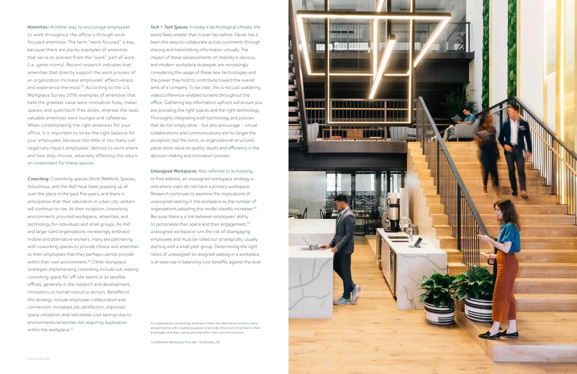

As organizations increasingly embrace mobile and alternative workers, many are partnering with coworking spaces to provide choice and amenities to their employees that they cannot provide within their own environment.

Confidential Workspace Provider—Scottsdale, AZ

*Coworking:* Coworking spaces (think WeWork, Spaces, Industrious, and the like) have been popping up all over the place in the past five years, and there is anticipation that their saturation in urban city centers will continue to rise. At their inception, coworking environments provided workspace, amenities, and technology for individuals and small groups. As mid and large-sized organizations increasingly embrace mobile and alternative workers, many are partnering with coworking spaces to provide choice and amenities to their employees that they perhaps cannot provide within their own environment.<sup>26</sup> Other workplace strategies implementing coworking include sub-leasing coworking space for off-site teams or as satellite offices, generally in the research and development, innovation, or human resource sectors. Benefits to this strategy include employee collaboration and connection, increased job satisfaction, improved space utilization, and real estate cost savings due to environments/amenities not requiring duplication within the workplace.<sup>27</sup>

*Amenities:* Another way to encourage employees to work throughout the office is through workfocused amenities. The term "work-focused" is key, because there are plenty examples of amenities that serve to distract from the "work" part of work (i.e. game rooms). Recent research indicates that amenities that directly support the work process of an organization increase employees' effectiveness and experience the most.<sup>25</sup> According to the U.S. Workplace Survey 2019, examples of amenities that held the greatest value were innovation hubs, maker spaces, and quiet/tech-free zones, whereas the least valuable amenities were lounges and cafeterias. When contemplating the right amenities for your office, it is important to strike the right balance for your employees, because too little or too many can negatively impact employees' abilities to work where and how they choose, adversely affecting the return on investment for these spaces.

*Tech + Tech Spaces:* In today's technological climate, the world feels smaller than it ever has before. Never has it been this easy to collaborate across continents through sharing and transmitting information virtually. The impact of these advancements on mobility is obvious, and modern workplace strategies are increasingly considering the usage of these new technologies and the power they hold to contribute toward the overall aims of a company. To be clear, this is not just scattering videoconference-enabled screens throughout the office. Gathering key information upfront will ensure you are providing the right spaces and the right technology. Thoroughly integrating both technology and policies that do not simply allow – but also encourage – virtual collaborations and communications are no longer the exception, but the norm, as organizational structures place more value on quality results and efficiency in the decision-making and innovation process.

*Unassigned Workspaces:* Also referred to as hoteling, or free address, an unassigned workspace strategy is one where users do not have a primary workspace. Research continues to examine the implications of unassigned seating in the workplace as the number of organizations adopting this model steadily increases.28 Because there is a link between employees' ability to personalize their space and their engagement,<sup>29</sup> unassigned workspace runs the risk of disengaging employees and must be rolled out strategically, usually starting with a small pilot group. Determining the right ratios of unassigned-to-assigned seating in a workplace is an exercise in balancing cost benefits against the level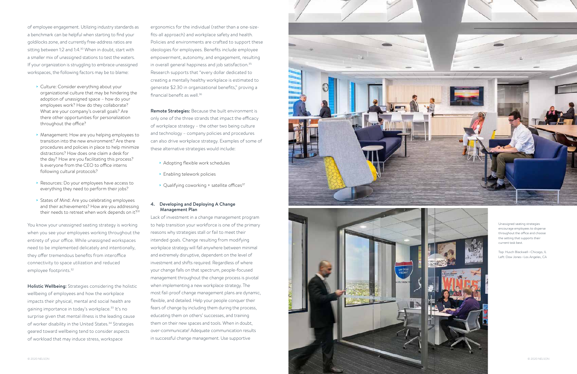



- > Culture: Consider everything about your organizational culture that may be hindering the adoption of unassigned space – how do your employees work? How do they collaborate? What are your company's overall goals? Are there other opportunities for personalization throughout the office?
- > Management: How are you helping employees to transition into the new environment? Are there procedures and policies in place to help minimize distractions? How does one claim a desk for the day? How are you facilitating this process? Is everyone from the CEO to office interns following cultural protocols?
- > Resources: Do your employees have access to everything they need to perform their jobs?
- > States of Mind: Are you celebrating employees and their achievements? How are you addressing their needs to retreat when work depends on it?<sup>31</sup>

of employee engagement. Utilizing industry standards as a benchmark can be helpful when starting to find your goldilocks zone, and currently free-address ratios are sitting between 1:2 and 1:4.<sup>30</sup> When in doubt, start with a smaller mix of unassigned stations to test the waters. If your organization is struggling to embrace unassigned workspaces, the following factors may be to blame:

You know your unassigned seating strategy is working when you see your employees working throughout the entirety of your office. While unassigned workspaces need to be implemented delicately and intentionally, they offer tremendous benefits from interoffice connectivity to space utilization and reduced employee footprints.<sup>32</sup>

Remote Strategies: Because the built environment is only one of the three strands that impact the efficacy of workplace strategy – the other two being culture and technology – company policies and procedures can also drive workplace strategy. Examples of some of these alternative strategies would include:

- > Adopting flexible work schedules
- > Enabling telework policies
- > Qualifying coworking + satellite offices<sup>37</sup>

Holistic Wellbeing: Strategies considering the holistic wellbeing of employees and how the workplace impacts their physical, mental and social health are gaining importance in today's workplace.<sup>33</sup> It's no surprise given that mental illness is the leading cause of worker disability in the United States.<sup>34</sup> Strategies geared toward wellbeing tend to consider aspects of workload that may induce stress, workspace

ergonomics for the individual (rather than a one-sizefits-all approach) and workplace safety and health. Policies and environments are crafted to support these ideologies for employees. Benefits include employee empowerment, autonomy, and engagement, resulting in overall general happiness and job satisfaction.<sup>35</sup> Research supports that "every dollar dedicated to creating a mentally healthy workplace is estimated to generate \$2.30 in organizational benefits," proving a financial benefit as well.36

#### 4. Developing and Deploying A Change Management Plan

Lack of investment in a change management program to help transition your workforce is one of the primary reasons why strategies stall or fail to meet their intended goals. Change resulting from modifying workplace strategy will fall anywhere between minimal and extremely disruptive, dependent on the level of investment and shifts required. Regardless of where your change falls on that spectrum, people-focused management throughout the change process is pivotal when implementing a new workplace strategy. The most fail-proof change management plans are dynamic, flexible, and detailed. Help your people conquer their fears of change by including them during the process, educating them on others' successes, and training them on their new spaces and tools. When in doubt, over-communicate! Adequate communication results in successful change management. Use supportive



encourage employees to disperse throughout the office and choose the setting that supports their current task best.

Top: Husch Blackwell—Chicago, IL Left: Dow Jones—Los Angeles, CA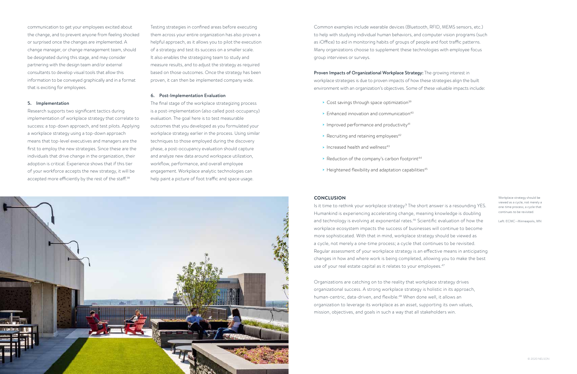

Research supports two significant tactics during implementation of workplace strategy that correlate to success: a top-down approach, and test pilots. Applying a workplace strategy using a top-down approach means that top-level executives and managers are the first to employ the new strategies. Since these are the individuals that drive change in the organization, their adoption is critical. Experience shows that if this tier of your workforce accepts the new strategy, it will be accepted more efficiently by the rest of the staff.<sup>38</sup>

communication to get your employees excited about the change, and to prevent anyone from feeling shocked or surprised once the changes are implemented. A change manager, or change management team, should be designated during this stage, and may consider partnering with the design team and/or external consultants to develop visual tools that allow this information to be conveyed graphically and in a format that is exciting for employees.

#### 5. Implementation

Testing strategies in confined areas before executing them across your entire organization has also proven a helpful approach, as it allows you to pilot the execution of a strategy and test its success on a smaller scale. It also enables the strategizing team to study and measure results, and to adjust the strategy as required based on those outcomes. Once the strategy has been proven, it can then be implemented company wide.

#### 6. Post-Implementation Evaluation

Is it time to rethink your workplace strategy? The short answer is a resounding YES. Humankind is experiencing accelerating change, meaning knowledge is doubling and technology is evolving at exponential rates.<sup>46</sup> Scientific evaluation of how the workplace ecosystem impacts the success of businesses will continue to become more sophisticated. With that in mind, workplace strategy should be viewed as a cycle, not merely a one-time process; a cycle that continues to be revisited. Regular assessment of your workplace strategy is an effective means in anticipating changes in how and where work is being completed, allowing you to make the best use of your real estate capital as it relates to your employees.<sup>47</sup>

The final stage of the workplace strategizing process is a post-implementation (also called post-occupancy) evaluation. The goal here is to test measurable outcomes that you developed as you formulated your workplace strategy earlier in the process. Using similar techniques to those employed during the discovery phase, a post-occupancy evaluation should capture and analyze new data around workspace utilization, workflow, performance, and overall employee engagement. Workplace analytic technologies can help paint a picture of foot traffic and space usage.

Common examples include wearable devices (Bluetooth, RFID, MEMS sensors, etc.) to help with studying individual human behaviors, and computer vision programs (such as iOffice) to aid in monitoring habits of groups of people and foot traffic patterns. Many organizations choose to supplement these technologies with employee focus group interviews or surveys.

#### Proven Impacts of Organizational Workplace Strategy: The growing interest in

workplace strategies is due to proven impacts of how these strategies align the built environment with an organization's objectives. Some of these valuable impacts include:

- > Cost savings through space optimization<sup>39</sup>
- $\geq$  Enhanced innovation and communication<sup>40</sup>
- > Improved performance and productivity<sup>41</sup>
- $\rightarrow$  Recruiting and retaining employees<sup>42</sup>
- $\blacktriangleright$  Increased health and wellness<sup>43</sup>
- > Reduction of the company's carbon footprint<sup>44</sup>
- $\rightarrow$  Heightened flexibility and adaptation capabilities<sup>45</sup>

#### **CONCLUSION**

Organizations are catching on to the reality that workplace strategy drives organizational success. A strong workplace strategy is holistic in its approach, human-centric, data-driven, and flexible.<sup>48</sup> When done well, it allows an organization to leverage its workplace as an asset, supporting its own values, mission, objectives, and goals in such a way that all stakeholders win.

Workplace strategy should be viewed as a cycle, not merely a one-time process; a cycle that continues to be revisited.

Left: ECMC—Minneapolis, MN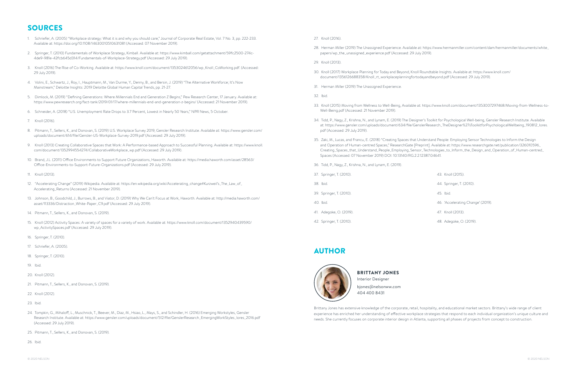BRITTANY JONES Interior Designer bjones@nelsonww.com 404 400 8431

Brittany Jones has extensive knowledge of the corporate, retail, hospitality, and educational market sectors. Brittany's wide range of client experience has enriched her understanding of effective workplace strategies that respond to each individual organization's unique culture and needs. She currently focuses on corporate interior design in Atlanta, supporting all phases of projects from concept to construction.

### SOURCES

#### AUTHOR



- 1. Schriefer, A. (2005) "Workplace strategy: What it is and why you should care," Journal of Corporate Real Estate, Vol. 7 No. 3, pp. 222-233. Available at: https://doi.org/10.1108/14630010510631081 (Accessed: 07 November 2019).
- 2. Springer, T. (2010) Fundamentals of Workplace Strategy, Kimball. Available at: https://www.kimball.com/getattachment/59fc2500-274c-4de9-981e-42fcb645d314/Fundamentals-of-Workplace-Strategy.pdf (Accessed: 29 July 2019).
- 3. Knoll (2016) The Rise of Co-Working. Available at: https://www.knoll.com/document/1353024612056/wp\_Knoll\_CoWorking.pdf. (Accessed: 29 July 2019).
- 4. Volini, E., Schwartz, J., Roy, I., Hauptmann, M., Van Durme, Y., Denny, B., and Bersin, J. (2019) "The Alternative Workforce; It's Now Mainstream," Deloitte Insights: 2019 Deloitte Global Human Capital Trends, pp. 21-27.
- 5. Dimlock, M. (2019) "Defining Generations: Where Millennials End and Generation Z Begins," Pew Research Center, 17 January. Available at: https://www.pewresearch.org/fact-tank/2019/01/17/where-millennials-end-and-generation-z-begins/ (Accessed: 21 November 2019).
- 6. Schneider, A. (2018) "U.S. Unemployment Rate Drops to 3.7 Percent, Lowest in Nearly 50 Years," NPR News, 5 October.
- 7. Knoll (2016).
- 8. Pitmann, T., Sellers, K., and Donovan, S. (2019) U.S. Workplace Survey 2019, Gensler Research Institute. Available at: https://www.gensler.com/ uploads/document/614/file/Gensler-US-Workplace-Survey-2019.pdf (Accessed: 29 July 2019).
- 9. Knoll (2013) Creating Collaborative Spaces that Work: A Performance-based Approach to Successful Planning. Available at: https://www.knoll. com/document/1352994554274/CollaborativeWorkplace\_wp.pdf (Accessed: 29 July 2019).
- 10. Brand, J.L. (2011) Office Environments to Support Future Organizations, Haworth. Available at: https://media.haworth.com/asset/28563/ Office-Environments-to-Support-Future-Organizations.pdf (Accessed: 29 July 2019).
- 11. Knoll (2013).
- 12. "Accelerating Change" (2019) Wikipedia. Available at: https://en.wikipedia.org/wiki/Accelerating\_change#Kurzweil's\_The\_Law\_of\_ Accelerating\_Returns (Accessed: 21 November 2019).
- 13. Johnson, B., Goodchild, J., Burrows, B., and Viator, D. (2019) Why We Can't Focus at Work, Haworth. Available at: http://media.haworth.com/ asset/113336/Distraction\_White-Paper\_C9.pdf (Accessed: 29 July 2019).
- 14. Pitmann, T., Sellers, K., and Donovan, S. (2019).
- 15. Knoll (2012) Activity Spaces: A variety of spaces for a variety of work. Available at: https://www.knoll.com/document/1352940439590/ wp\_ActivitySpaces.pdf (Accessed: 29 July 2019).
- 16. Springer, T. (2010).
- 17. Schriefer, A. (2005).
- 18. Springer, T. (2010).
- 19. Ibid.
- 20. Knoll (2012).
- 21. Pitmann, T., Sellers, K., and Donovan, S. (2019).
- 22. Knoll (2012).
- 23. Ibid.
- 24. Tompkin, G., Mihaloff, L., Muschnick, T., Beever, M., Diaz, M., Hsiao, L., Mays, S., and Schindler, H. (2016) Emerging Workstyles, Gensler Research Institute. Available at: https://www.gensler.com/uploads/document/512/file/GenslerResearch\_EmergingWorkStyles\_lores\_2016.pdf (Accessed: 29 July 2019).
- 25. Pitmann, T., Sellers, K., and Donovan, S. (2019).

26. Ibid.

28. Herman Miller (2019) The Unassigned Experience. Available at: https://www.hermanmiller.com/content/dam/hermanmiller/documents/white\_

33. Knoll (2015) Moving from Wellness to Well-Being, Available at: https://www.knoll.com/document/1353007297468/Moving-from-Wellness-to-

- 27. Knoll (2016).
- papers/wp\_the\_unassigned\_experience.pdf (Accessed: 29 July 2019).
- 29. Knoll (2013).
- 30. Knoll (2017) Workplace Planning for Today and Beyond, Knoll Roundtable Insights. Available at: https://www.knoll.com/ document/1356126688358/Knoll\_rt\_workplaceplanningfortodayandbeyond.pdf (Accessed: 29 July 2019).
- 31. Herman Miller (2019) The Unassigned Experience.
- 32. Ibid.
- Well-Being.pdf (Accessed: 21 November 2019).
- pdf (Accessed: 29 July 2019).
- Spaces (Accessed: 07 November 2019) DOI: 10.13140/RG.2.2.12387.04641.
- 36. Tidd, P., Nagy, Z., Krishna, N., and Lynam, E. (2019).
- 37. Springer, T. (2010).
- 38. Ibid.
- 39. Springer, T. (2010).
- 40. Ibid.
- 41. Adegoke, O. (2019).
- 42. Springer, T. (2010).

34. Tidd, P., Nagy, Z., Krishna, N., and Lynam, E. (2019) The Designer's Toolkit for Psychological Well-being, Gensler Research Institute. Available at: https://www.gensler.com/uploads/document/634/file/GenslerResearch\_TheDesigner%27sToolkitforPsychologicalWellbeing\_190812\_lores.

35. Zaki, M., Lucas, and Francu, E. (2018) "Creating Spaces that Understand People: Employing Sensor Technologies to Inform the Design and Operation of Human-centred Spaces," ResearchGate [Preprint]. Available at: https://www.researchgate.net/publication/326010596\_ Creating\_Spaces\_that\_Understand\_People\_Employing\_Sensor\_Technologies\_to\_Inform\_the\_Design\_and\_Operation\_of\_Human-centred\_

43. Knoll (2015).

44. Springer, T. (2010).

45. Ibid.

46. 'Accelerating Change' (2019).

47. Knoll (2013).

48. Adegoke, O. (2019).